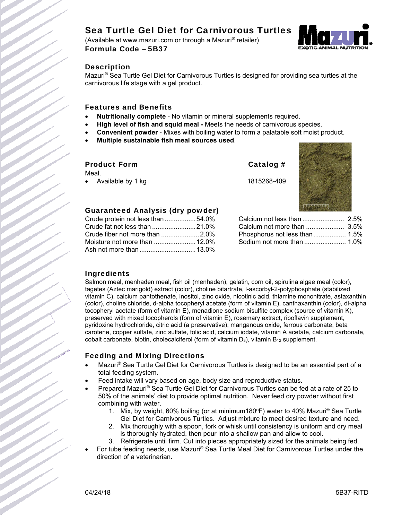# Sea Turtle Gel Diet for Carnivorous Turtles

(Available at www.mazuri.com or through a Mazuri® retailer) Formula Code – 5B37



#### **Description**

Mazuri® Sea Turtle Gel Diet for Carnivorous Turtles is designed for providing sea turtles at the carnivorous life stage with a gel product.

#### Features and Benefits

- **Nutritionally complete** No vitamin or mineral supplements required.
- **High level of fish and squid meal -** Meets the needs of carnivorous species.
- **Convenient powder** Mixes with boiling water to form a palatable soft moist product.
- **Multiple sustainable fish meal sources used**.

#### Product Form Catalog #

Meal.

Available by 1 kg 1815268-409



## Guaranteed Analysis (dry powder)

| Crude protein not less than 54.0% |  |
|-----------------------------------|--|
| Crude fat not less than 21.0%     |  |
|                                   |  |
|                                   |  |
|                                   |  |

| Phosphorus not less than 1.5% |  |
|-------------------------------|--|
| Sodium not more than  1.0%    |  |

## Ingredients

Salmon meal, menhaden meal, fish oil (menhaden), gelatin, corn oil, spirulina algae meal (color), tagetes (Aztec marigold) extract (color), choline bitartrate, l-ascorbyl-2-polyphosphate (stabilized vitamin C), calcium pantothenate, inositol, zinc oxide, nicotinic acid, thiamine mononitrate, astaxanthin (color), choline chloride, d-alpha tocopheryl acetate (form of vitamin E), canthaxanthin (color), dl-alpha tocopheryl acetate (form of vitamin E), menadione sodium bisulfite complex (source of vitamin K), preserved with mixed tocopherols (form of vitamin E), rosemary extract, riboflavin supplement, pyridoxine hydrochloride, citric acid (a preservative), manganous oxide, ferrous carbonate, beta carotene, copper sulfate, zinc sulfate, folic acid, calcium iodate, vitamin A acetate, calcium carbonate, cobalt carbonate, biotin, cholecalciferol (form of vitamin  $D_3$ ), vitamin  $B_{12}$  supplement.

## Feeding and Mixing Directions

- Mazuri® Sea Turtle Gel Diet for Carnivorous Turtles is designed to be an essential part of a total feeding system.
- Feed intake will vary based on age, body size and reproductive status.
- Prepared Mazuri® Sea Turtle Gel Diet for Carnivorous Turtles can be fed at a rate of 25 to 50% of the animals' diet to provide optimal nutrition. Never feed dry powder without first combining with water.
	- 1. Mix, by weight, 60% boiling (or at minimum180°F) water to 40% Mazuri® Sea Turtle Gel Diet for Carnivorous Turtles. Adjust mixture to meet desired texture and need.
	- 2. Mix thoroughly with a spoon, fork or whisk until consistency is uniform and dry meal is thoroughly hydrated, then pour into a shallow pan and allow to cool.
	- 3. Refrigerate until firm. Cut into pieces appropriately sized for the animals being fed.
- For tube feeding needs, use Mazuri® Sea Turtle Meal Diet for Carnivorous Turtles under the direction of a veterinarian.